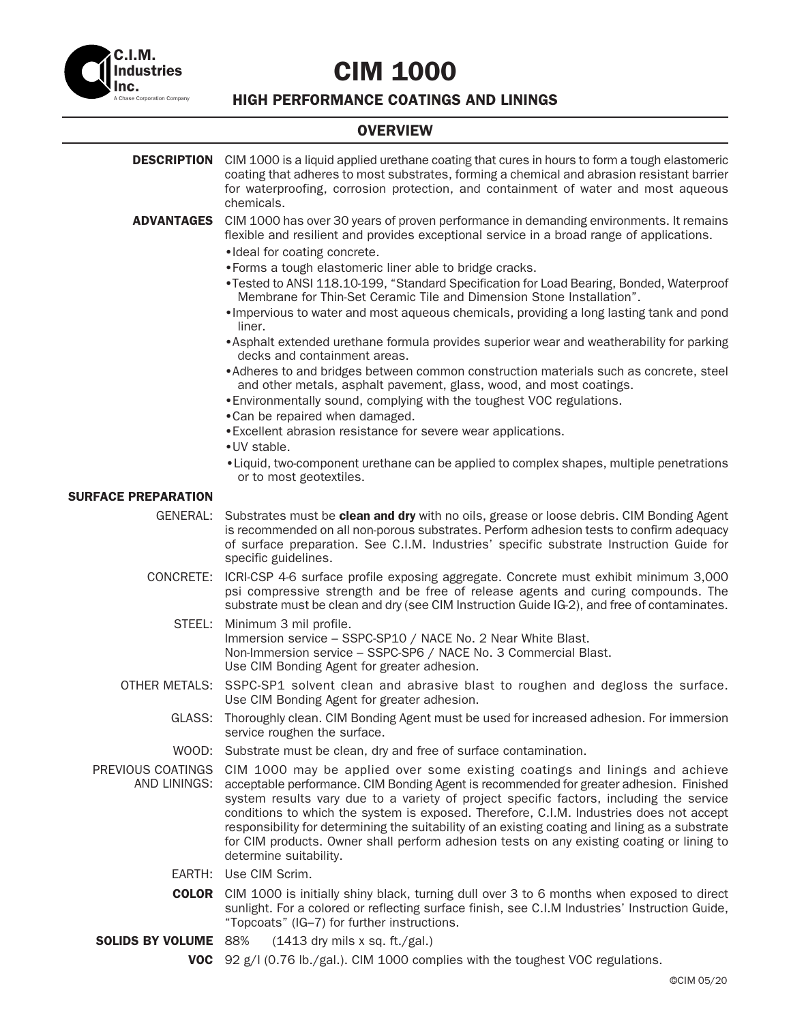

# **HIGH PERFORMANCE COATINGS AND LININGS**

## **OVERVIEW**

|                                   | <b>DESCRIPTION</b> CIM 1000 is a liquid applied urethane coating that cures in hours to form a tough elastomeric<br>coating that adheres to most substrates, forming a chemical and abrasion resistant barrier<br>for waterproofing, corrosion protection, and containment of water and most aqueous<br>chemicals.                                                                                                                                                                                                                                                                     |
|-----------------------------------|----------------------------------------------------------------------------------------------------------------------------------------------------------------------------------------------------------------------------------------------------------------------------------------------------------------------------------------------------------------------------------------------------------------------------------------------------------------------------------------------------------------------------------------------------------------------------------------|
| <b>ADVANTAGES</b>                 | CIM 1000 has over 30 years of proven performance in demanding environments. It remains<br>flexible and resilient and provides exceptional service in a broad range of applications.                                                                                                                                                                                                                                                                                                                                                                                                    |
|                                   | ·Ideal for coating concrete.<br>• Forms a tough elastomeric liner able to bridge cracks.<br>• Tested to ANSI 118.10-199, "Standard Specification for Load Bearing, Bonded, Waterproof<br>Membrane for Thin-Set Ceramic Tile and Dimension Stone Installation".<br>. Impervious to water and most aqueous chemicals, providing a long lasting tank and pond<br>liner.                                                                                                                                                                                                                   |
|                                   | • Asphalt extended urethane formula provides superior wear and weatherability for parking<br>decks and containment areas.                                                                                                                                                                                                                                                                                                                                                                                                                                                              |
|                                   | • Adheres to and bridges between common construction materials such as concrete, steel<br>and other metals, asphalt pavement, glass, wood, and most coatings.<br>. Environmentally sound, complying with the toughest VOC regulations.                                                                                                                                                                                                                                                                                                                                                 |
|                                   | .Can be repaired when damaged.                                                                                                                                                                                                                                                                                                                                                                                                                                                                                                                                                         |
|                                   | • Excellent abrasion resistance for severe wear applications.<br>• UV stable.                                                                                                                                                                                                                                                                                                                                                                                                                                                                                                          |
|                                   | • Liquid, two-component urethane can be applied to complex shapes, multiple penetrations<br>or to most geotextiles.                                                                                                                                                                                                                                                                                                                                                                                                                                                                    |
| <b>SURFACE PREPARATION</b>        |                                                                                                                                                                                                                                                                                                                                                                                                                                                                                                                                                                                        |
| GENERAL:                          | Substrates must be clean and dry with no oils, grease or loose debris. CIM Bonding Agent<br>is recommended on all non-porous substrates. Perform adhesion tests to confirm adequacy<br>of surface preparation. See C.I.M. Industries' specific substrate Instruction Guide for<br>specific guidelines.                                                                                                                                                                                                                                                                                 |
| CONCRETE:                         | ICRI-CSP 4-6 surface profile exposing aggregate. Concrete must exhibit minimum 3,000<br>psi compressive strength and be free of release agents and curing compounds. The<br>substrate must be clean and dry (see CIM Instruction Guide IG-2), and free of contaminates.                                                                                                                                                                                                                                                                                                                |
| STEEL:                            | Minimum 3 mil profile.<br>Immersion service - SSPC-SP10 / NACE No. 2 Near White Blast.<br>Non-Immersion service - SSPC-SP6 / NACE No. 3 Commercial Blast.<br>Use CIM Bonding Agent for greater adhesion.                                                                                                                                                                                                                                                                                                                                                                               |
| OTHER METALS:                     | SSPC-SP1 solvent clean and abrasive blast to roughen and degloss the surface.<br>Use CIM Bonding Agent for greater adhesion.                                                                                                                                                                                                                                                                                                                                                                                                                                                           |
|                                   | GLASS: Thoroughly clean. CIM Bonding Agent must be used for increased adhesion. For immersion<br>service roughen the surface.                                                                                                                                                                                                                                                                                                                                                                                                                                                          |
| WOOD:                             | Substrate must be clean, dry and free of surface contamination.                                                                                                                                                                                                                                                                                                                                                                                                                                                                                                                        |
| PREVIOUS COATINGS<br>AND LININGS: | CIM 1000 may be applied over some existing coatings and linings and achieve<br>acceptable performance. CIM Bonding Agent is recommended for greater adhesion. Finished<br>system results vary due to a variety of project specific factors, including the service<br>conditions to which the system is exposed. Therefore, C.I.M. Industries does not accept<br>responsibility for determining the suitability of an existing coating and lining as a substrate<br>for CIM products. Owner shall perform adhesion tests on any existing coating or lining to<br>determine suitability. |
| EARTH:                            | Use CIM Scrim.                                                                                                                                                                                                                                                                                                                                                                                                                                                                                                                                                                         |
| <b>COLOR</b>                      | CIM 1000 is initially shiny black, turning dull over 3 to 6 months when exposed to direct<br>sunlight. For a colored or reflecting surface finish, see C.I.M Industries' Instruction Guide,<br>"Topcoats" (IG-7) for further instructions.                                                                                                                                                                                                                                                                                                                                             |
| <b>SOLIDS BY VOLUME 88%</b>       | $(1413$ dry mils x sq. ft./gal.)                                                                                                                                                                                                                                                                                                                                                                                                                                                                                                                                                       |
|                                   | VOC 92 g/l (0.76 lb./gal.). CIM 1000 complies with the toughest VOC regulations.                                                                                                                                                                                                                                                                                                                                                                                                                                                                                                       |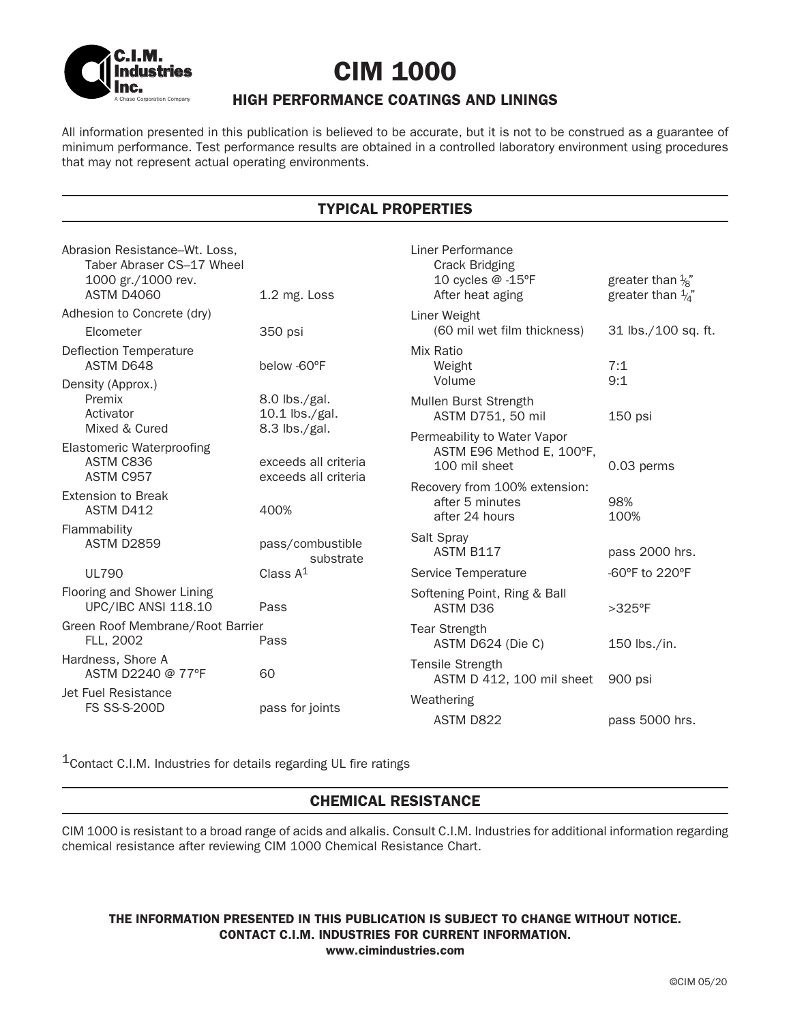

## **HIGH PERFORMANCE COATINGS AND LININGS**

All information presented in this publication is believed to be accurate, but it is not to be construed as a guarantee of minimum performance. Test performance results are obtained in a controlled laboratory environment using procedures that may not represent actual operating environments.

# **TYPICAL PROPERTIES**

| Abrasion Resistance-Wt. Loss,<br>Taber Abraser CS-17 Wheel<br>1000 gr./1000 rev.<br><b>ASTM D4060</b> | 1.2 mg. Loss                          | Liner Performance<br><b>Crack Bridging</b><br>10 cycles @ -15°F<br>After heat aging | greater than $\frac{1}{8}$ "<br>greater than $\frac{1}{4}$ |
|-------------------------------------------------------------------------------------------------------|---------------------------------------|-------------------------------------------------------------------------------------|------------------------------------------------------------|
| Adhesion to Concrete (dry)                                                                            |                                       | Liner Weight                                                                        |                                                            |
| Elcometer                                                                                             | 350 psi                               | (60 mil wet film thickness)                                                         | 31 lbs./100 sq. ft.                                        |
| <b>Deflection Temperature</b><br>ASTM D648                                                            | below -60°F                           | Mix Ratio<br>Weight                                                                 | 7:1                                                        |
| Density (Approx.)                                                                                     |                                       | Volume                                                                              | 9:1                                                        |
| Premix<br>Activator                                                                                   | 8.0 lbs./gal.<br>$10.1$ lbs./gal.     | Mullen Burst Strength<br>ASTM D751, 50 mil                                          | $150$ psi                                                  |
| Mixed & Cured<br><b>Elastomeric Waterproofing</b><br>ASTM C836                                        | 8.3 lbs./gal.<br>exceeds all criteria | Permeability to Water Vapor<br>ASTM E96 Method E, 100°F,<br>100 mil sheet           | 0.03 perms                                                 |
| ASTM C957<br><b>Extension to Break</b><br>ASTM D412                                                   | exceeds all criteria<br>400%          | Recovery from 100% extension:<br>after 5 minutes<br>after 24 hours                  | 98%<br>100%                                                |
| Flammability<br><b>ASTM D2859</b>                                                                     | pass/combustible<br>substrate         | Salt Spray<br>ASTM B117                                                             | pass 2000 hrs.                                             |
| <b>UL790</b>                                                                                          | Class $A1$                            | Service Temperature                                                                 | -60°F to 220°F                                             |
| Flooring and Shower Lining<br>UPC/IBC ANSI 118.10                                                     | Pass                                  | Softening Point, Ring & Ball<br>ASTM D36                                            | $>325$ °F                                                  |
| Green Roof Membrane/Root Barrier<br>FLL, 2002<br>Pass                                                 |                                       | <b>Tear Strength</b><br>ASTM D624 (Die C)                                           | 150 lbs./in.                                               |
| Hardness, Shore A<br>ASTM D2240 @ 77°F                                                                | 60                                    | <b>Tensile Strength</b><br>ASTM D 412, 100 mil sheet                                | 900 psi                                                    |
| <b>Jet Fuel Resistance</b>                                                                            | pass for joints                       | Weathering                                                                          |                                                            |
| <b>FS SS-S-200D</b>                                                                                   |                                       | ASTM D822                                                                           | pass 5000 hrs.                                             |
|                                                                                                       |                                       |                                                                                     |                                                            |

1Contact C.I.M. Industries for details regarding UL fire ratings

## **CHEMICAL RESISTANCE**

CIM 1000 is resistant to a broad range of acids and alkalis. Consult C.I.M. Industries for additional information regarding chemical resistance after reviewing CIM 1000 Chemical Resistance Chart.

#### **THE INFORMATION PRESENTED IN THIS PUBLICATION IS SUBJECT TO CHANGE WITHOUT NOTICE. CONTACT C.I.M. INDUSTRIES FOR CURRENT INFORMATION. www.cimindustries.com**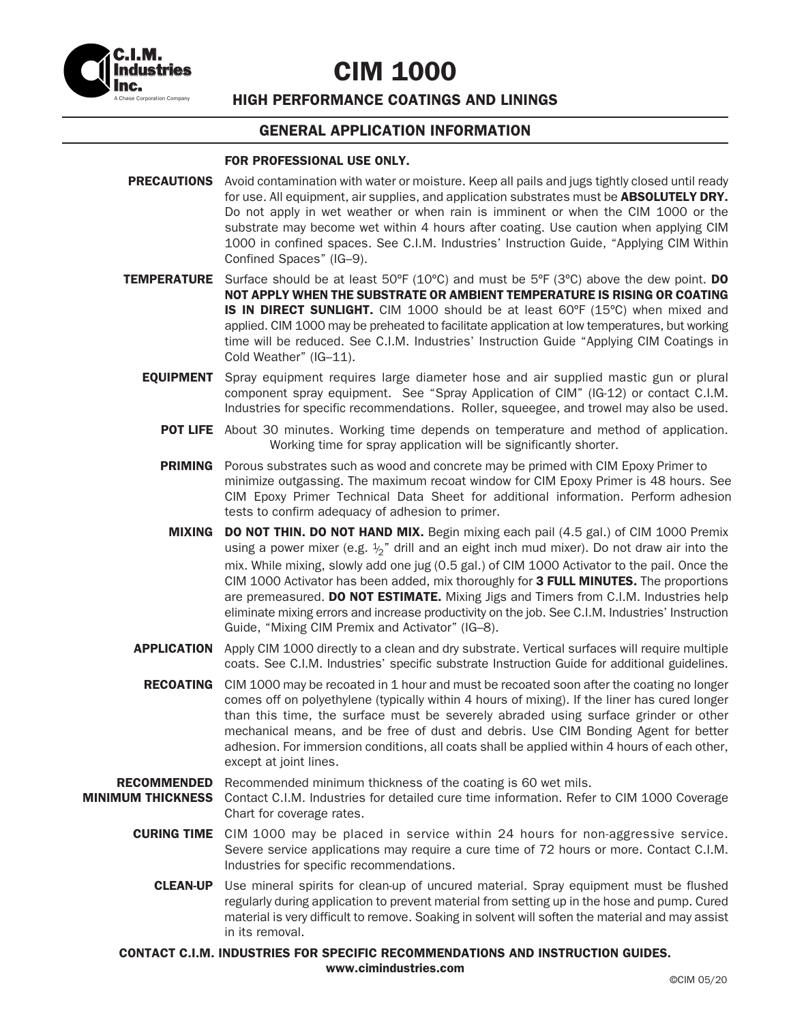

### **HIGH PERFORMANCE COATINGS AND LININGS**

### **GENERAL APPLICATION INFORMATION**

#### **FOR PROFESSIONAL USE ONLY.**

- **PRECAUTIONS** Avoid contamination with water or moisture. Keep all pails and jugs tightly closed until ready for use. All equipment, air supplies, and application substrates must be **ABSOLUTELY DRY.** Do not apply in wet weather or when rain is imminent or when the CIM 1000 or the substrate may become wet within 4 hours after coating. Use caution when applying CIM 1000 in confined spaces. See C.I.M. Industries' Instruction Guide, "Applying CIM Within Confined Spaces" (IG–9).
- **TEMPERATURE** Surface should be at least 50ºF (10ºC) and must be 5ºF (3ºC) above the dew point. **DO NOT APPLY WHEN THE SUBSTRATE OR AMBIENT TEMPERATURE IS RISING OR COATING IS IN DIRECT SUNLIGHT.** CIM 1000 should be at least 60°F (15°C) when mixed and applied. CIM 1000 may be preheated to facilitate application at low temperatures, but working time will be reduced. See C.I.M. Industries' Instruction Guide "Applying CIM Coatings in Cold Weather" (IG–11).
	- **EQUIPMENT** Spray equipment requires large diameter hose and air supplied mastic gun or plural component spray equipment. See "Spray Application of CIM" (IG-12) or contact C.I.M. Industries for specific recommendations. Roller, squeegee, and trowel may also be used.
		- **POT LIFE** About 30 minutes. Working time depends on temperature and method of application. Working time for spray application will be significantly shorter.
		- **PRIMING** Porous substrates such as wood and concrete may be primed with CIM Epoxy Primer to minimize outgassing. The maximum recoat window for CIM Epoxy Primer is 48 hours. See CIM Epoxy Primer Technical Data Sheet for additional information. Perform adhesion tests to confirm adequacy of adhesion to primer.
		- **MIXING DO NOT THIN. DO NOT HAND MIX.** Begin mixing each pail (4.5 gal.) of CIM 1000 Premix using a power mixer (e.g.  $\frac{1}{2}$ " drill and an eight inch mud mixer). Do not draw air into the mix. While mixing, slowly add one jug (0.5 gal.) of CIM 1000 Activator to the pail. Once the CIM 1000 Activator has been added, mix thoroughly for **3 FULL MINUTES.** The proportions are premeasured. **DO NOT ESTIMATE.** Mixing Jigs and Timers from C.I.M. Industries help eliminate mixing errors and increase productivity on the job. See C.I.M. Industries' Instruction Guide, "Mixing CIM Premix and Activator" (IG–8).
	- **APPLICATION** Apply CIM 1000 directly to a clean and dry substrate. Vertical surfaces will require multiple coats. See C.I.M. Industries' specific substrate Instruction Guide for additional guidelines.
	- **RECOATING** CIM 1000 may be recoated in 1 hour and must be recoated soon after the coating no longer comes off on polyethylene (typically within 4 hours of mixing). If the liner has cured longer than this time, the surface must be severely abraded using surface grinder or other mechanical means, and be free of dust and debris. Use CIM Bonding Agent for better adhesion. For immersion conditions, all coats shall be applied within 4 hours of each other, except at joint lines.

**RECOMMENDED** Recommended minimum thickness of the coating is 60 wet mils.

- **MINIMUM THICKNESS** Contact C.I.M. Industries for detailed cure time information. Refer to CIM 1000 Coverage Chart for coverage rates.
	- **CURING TIME** CIM 1000 may be placed in service within 24 hours for non-aggressive service. Severe service applications may require a cure time of 72 hours or more. Contact C.I.M. Industries for specific recommendations.
		- **CLEAN-UP** Use mineral spirits for clean-up of uncured material. Spray equipment must be flushed regularly during application to prevent material from setting up in the hose and pump. Cured material is very difficult to remove. Soaking in solvent will soften the material and may assist in its removal.

**CONTACT C.I.M. INDUSTRIES FOR SPECIFIC RECOMMENDATIONS AND INSTRUCTION GUIDES.**